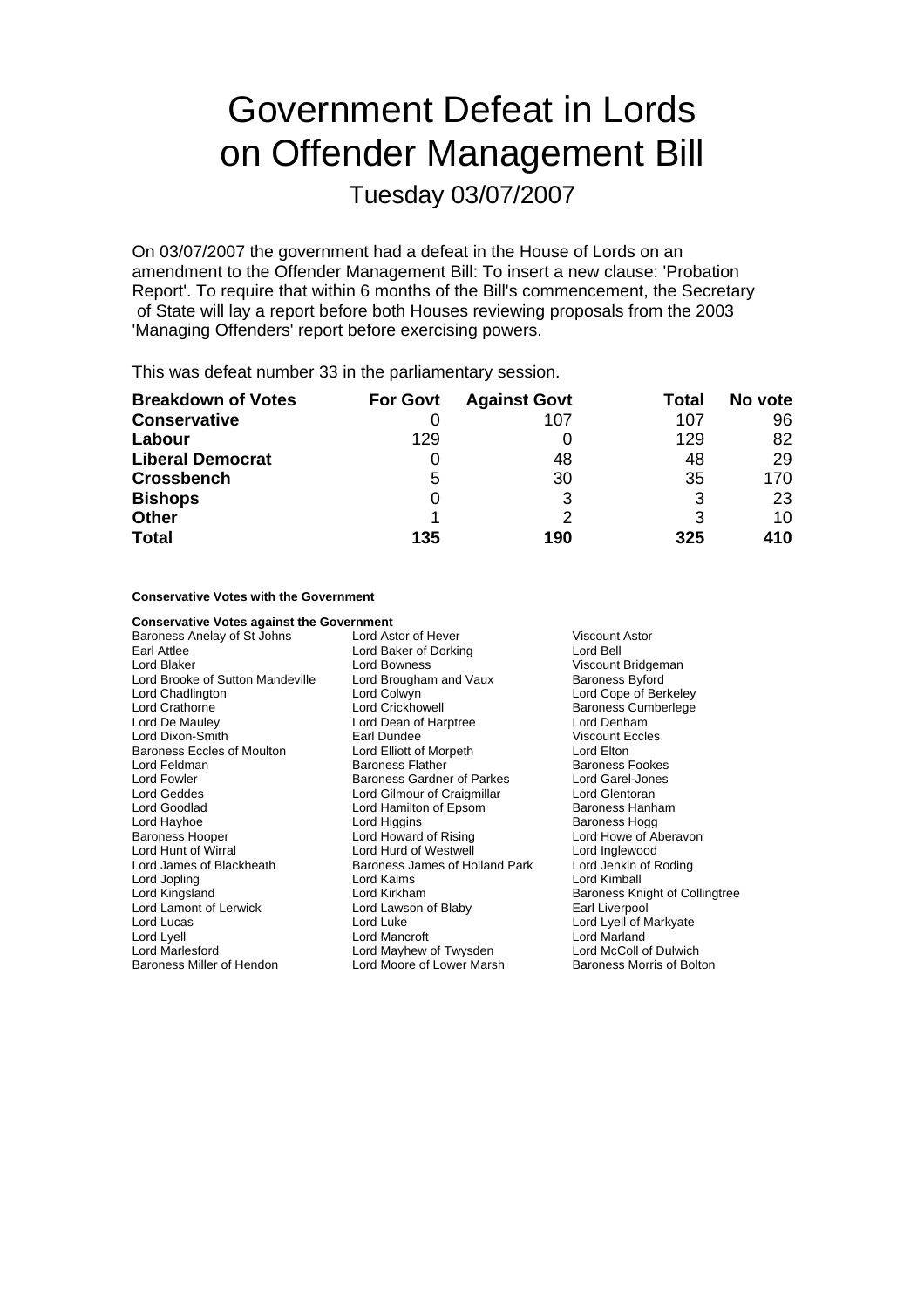# Government Defeat in Lords on Offender Management Bill

Tuesday 03/07/2007

On 03/07/2007 the government had a defeat in the House of Lords on an amendment to the Offender Management Bill: To insert a new clause: 'Probation Report'. To require that within 6 months of the Bill's commencement, the Secretary of State will lay a report before both Houses reviewing proposals from the 2003 'Managing Offenders' report before exercising powers.

This was defeat number 33 in the parliamentary session.

| <b>Breakdown of Votes</b> | <b>For Govt</b> | <b>Against Govt</b> | Total | No vote |
|---------------------------|-----------------|---------------------|-------|---------|
| <b>Conservative</b>       |                 | 107                 | 107   | 96      |
| Labour                    | 129             |                     | 129   | 82      |
| <b>Liberal Democrat</b>   | O               | 48                  | 48    | 29      |
| <b>Crossbench</b>         | 5               | 30                  | 35    | 170     |
| <b>Bishops</b>            | 0               |                     | 3     | 23      |
| <b>Other</b>              |                 |                     | 3     | 10      |
| <b>Total</b>              | 135             | 190                 | 325   | 410     |

**Conservative Votes with the Government**

| <b>Conservative Votes against the Government</b> |                                       |                                |  |
|--------------------------------------------------|---------------------------------------|--------------------------------|--|
| Baroness Anelay of St Johns                      | Lord Astor of Hever<br>Viscount Astor |                                |  |
| Earl Attlee                                      | Lord Baker of Dorking                 | Lord Bell                      |  |
| Lord Blaker                                      | Lord Bowness                          | Viscount Bridgeman             |  |
| Lord Brooke of Sutton Mandeville                 | Lord Brougham and Vaux                | <b>Baroness Byford</b>         |  |
| Lord Chadlington                                 | Lord Colwyn                           | Lord Cope of Berkeley          |  |
| Lord Crathorne                                   | <b>Lord Crickhowell</b>               | <b>Baroness Cumberlege</b>     |  |
| Lord De Mauley                                   | Lord Dean of Harptree                 | Lord Denham                    |  |
| Lord Dixon-Smith                                 | Earl Dundee                           | <b>Viscount Eccles</b>         |  |
| Baroness Eccles of Moulton                       | Lord Elliott of Morpeth               | Lord Elton                     |  |
| Lord Feldman                                     | <b>Baroness Flather</b>               | <b>Baroness Fookes</b>         |  |
| Lord Fowler                                      | Baroness Gardner of Parkes            | Lord Garel-Jones               |  |
| Lord Geddes                                      | Lord Gilmour of Craigmillar           | Lord Glentoran                 |  |
| Lord Goodlad                                     | Lord Hamilton of Epsom                | Baroness Hanham                |  |
| Lord Hayhoe                                      | Lord Higgins                          | Baroness Hogg                  |  |
| Baroness Hooper                                  | Lord Howard of Rising                 | Lord Howe of Aberavon          |  |
| Lord Hunt of Wirral                              | Lord Hurd of Westwell                 | Lord Inglewood                 |  |
| Lord James of Blackheath                         | Baroness James of Holland Park        | Lord Jenkin of Roding          |  |
| Lord Jopling                                     | Lord Kalms                            | Lord Kimball                   |  |
| Lord Kingsland                                   | Lord Kirkham                          | Baroness Knight of Collingtree |  |
| Lord Lamont of Lerwick                           | Lord Lawson of Blaby                  | Earl Liverpool                 |  |
| Lord Lucas                                       | Lord Luke                             | Lord Lyell of Markyate         |  |
| Lord Lyell                                       | Lord Mancroft                         | Lord Marland                   |  |
| Lord Marlesford                                  | Lord Mayhew of Twysden                | Lord McColl of Dulwich         |  |
| Baroness Miller of Hendon                        | Lord Moore of Lower Marsh             | Baroness Morris of Bolton      |  |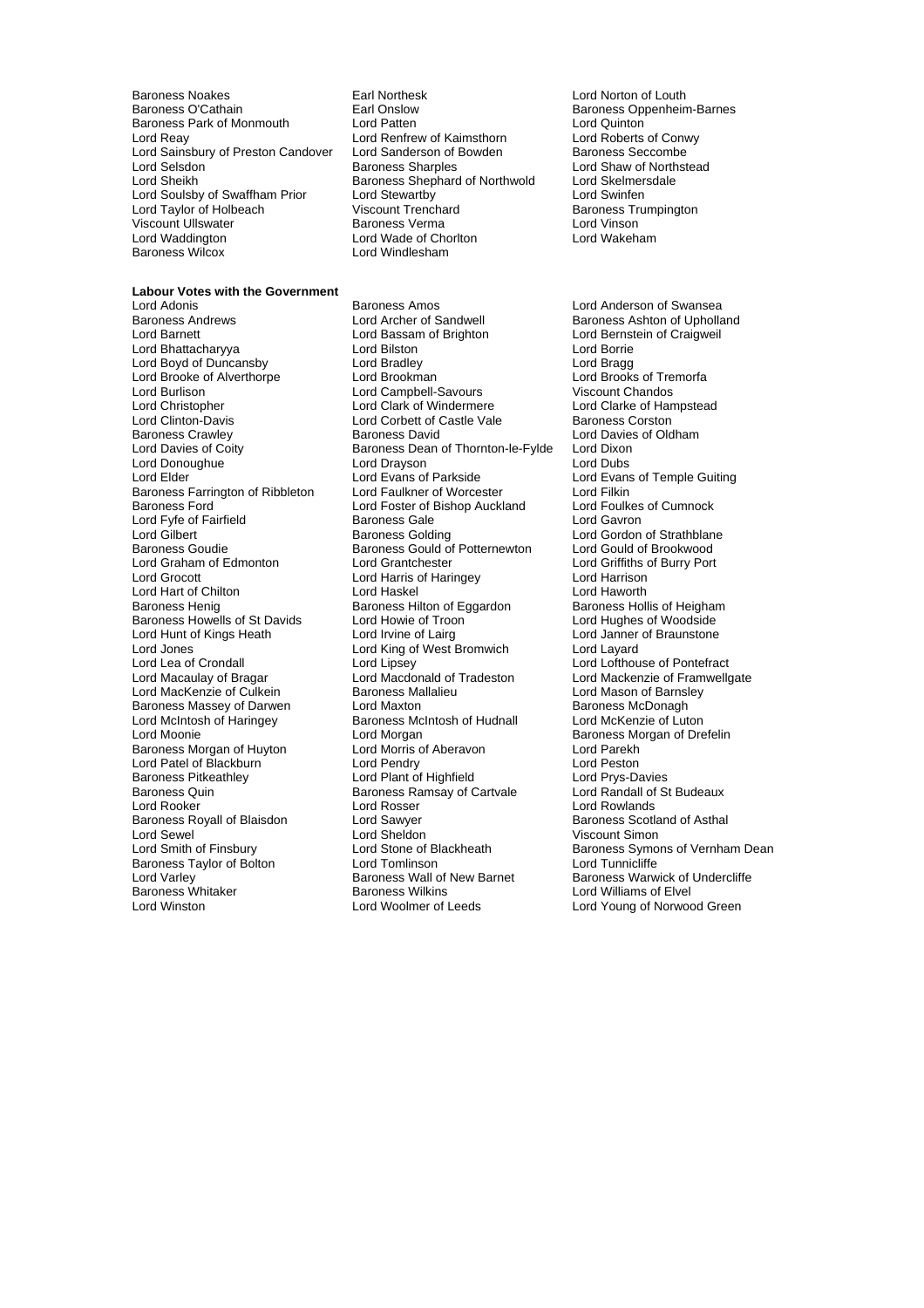Baroness Noakes Earl Northesk Lord Norton of Louth Baroness Park of Monmouth Lord Patten<br>Lord Reav Lord Renfrew of Kaimsthorn Lord Roberts of Conwy Lord Reay Lord Renfrew of Kaimsthorn Lord Roberts of Conwy Lord Sainsbury of Preston Candover Lord Sanderson of I<br>Lord Selsdon Baroness Sharples Lord Selsdon Baroness Sharples Lord Shaw of Northstead<br>Lord Sheikh Baroness Shephard of Northwold Lord Skelmersdale Lord Soulsby of Swaffham Prior Lord Stewartby<br>
Lord Taylor of Holbeach Clicount Trenchard<br>
Lord Taylor of Holbeach Clicount Trenchard<br>
Lord Taylor of Holbeach Clicount Trenchard Lord Taylor of Holbeach Viscount Trenchard Baroness Trumping Baroness Trumping Corporation Baroness Trumping C<br>Viscount Ullswater Corporation Baroness Verma Viscount Ullswater Baroness Verma Lord Vinson Lord Waddington Lord Wade of Chorlton Lord Wakeham

Earl Onslow **Baroness Oppenheim-Barnes**<br> **Earl Onslow Baroness Oppenheim-Barnes**<br>
Lord Quinton Baroness Shephard of Northwold Lord Skelmer<br>Lord Stewartby Lord Skelmer Lord Windlesham

**Labour Votes with the Government** Lord Brooke of Alverthorpe Lord Brookman Lord Donoughue<br>
Lord Elder<br>
Lord Evans of Parkside Lord Hunt of Kings Heath Baroness Quin **Baroness Ramsay of Cartvale**<br>
Lord Rooker
Lord Rosser Baroness Taylor of Bolton **Lord Tomlinson**<br>
Lord Varlev **Lord Tomling Lord Tunnicliffe**<br>
Baroness Wall of New Barnet

Lord Adonis Baroness Amos Lord Anderson of Swansea Lord Barnett **Lord Bassam of Brighton** Cord Bernstein of Craigweil<br>
Lord Bhattacharvva **Lord Bilston** Lord Bilston **Lord Borrie** Lord Borrie Lord Bhattacharyya Lord Bilston Lord Borrie Lord Boyd of Duncansby Lord Bradley Lord Bragg Lord Burlison **Lord Campbell-Savours** Viscount Chandos<br>
Lord Christopher **Lord Clark Clark of Windermere** Lord Clarke of Hampstead Lord Christopher Lord Clark of Windermere Lord Clarke of Hampstead Lord Corbett of Castle Vale Baroness Crawley **Baroness David** Lord Davies of Oldham<br>
Lord Davies of Coity **Baroness Dean of Thornton-le-Fylde** Lord Dixon Baroness Dean of Thornton-le-Fylde Lord Dixon<br>Lord Dravson Lord Dubs Baroness Farrington of Ribbleton Lord Faulkner of Worcester Lord Filkin<br>Baroness Ford Cumnock Lord Foster of Bishop Auckland Lord Foulkes of Cumnock Lord Foster of Bishop Auckland Lord Foulkes<br>Baroness Gale Lord Gavron Lord Fyfe of Fairfield **Baroness Gale** Lord Gavron<br>
Lord Gilbert **Baroness Golding** Lord Gordon of Strathblane Lord Gilbert **Baroness Golding** Cord Cord Gordon of Strathblane Baroness Goudie **Baroness Gould of Potternewton** Lord Gould of Brookwood Lord Graham of Edmonton Lord Grantchester Lord Griffiths of Burry Port Lord Harris of Haringey Lord Harrison Lord Hart of Chilton **Lord Haskel Conduct Lord Haworth**<br>
Baroness Henig **Baroness** Hilton of Eggardon Baroness Hollis of Heigham Baroness Hilton of Eggardon Baroness Hollis of Heighar<br>
Baroness Hollis of Troon<br>
Lord Hughes of Woodside Baroness Howells of St Davids<br>
Lord Hughes of Woodside<br>
Lord Hunt of Kings Heath 
Lord I Lord I Lord I Lord I Lord I Lord Janner of Braunstone Lord Jones Lord King of West Bromwich Lord Layard Lord Lea of Crondall **Lord Lord Lipsey** Lord Lofthouse of Pontefract<br>Lord Macaulay of Bragar Lord Macdonald of Tradeston Lord Mackenzie of Framwell Lord MacKenzie of Culkein **Baroness Mallalieu** Lord Mason of Barnsley<br>
Baroness Massey of Darwen Lord Maxton **Communication** Baroness McDonagh Baroness Massey of Darwen Lord Maxton and Baroness McDonagh<br>
Lord McIntosh of Haringey Baroness McIntosh of Hudnall Lord McKenzie of Luton Baroness McIntosh of Hudnall Lord Moonie<br>
Lord Morgan Diese Lord Morgan<br>
Lord Aberavon<br>
Lord Parekh<br>
Lord Parekh Baroness Morgan of Huyton Lord Morris of Aberavon Lord Parekh Lord Patel of Blackburn **Lord Pendry Lord Pendry** Lord Peston<br> **Raroness Pitkeathley Lord Plant of Highfield** Lord Prys-Davies Baroness Pitkeathley **Lord Plant of Highfield** Lord Prys-Davies<br>Baroness Rikeathley **Lord Plant of Highfield** Lord Prys-Davies<br>Baroness Quin Baroness Ramsay of Cartvale Lord Randall of St Budeaux Lord Rooker Lord Rosser Lord Rosser Lord Rowlands<br>
Baroness Royall of Blaisdon Lord Sawyer Lord Baroness Scotland Lord Sawyer **Baroness Scotland of Asthal**<br>
Lord Sheldon **Communist Contains Communist Communist Contains Contains Communist Communist Communist Communist C** Lord Sewel Cord Sheldon Cord Sheldon Viscount Simon<br>
Lord Smith of Finsbury Cord Stone of Blackheath Cord Saroness Symon Lord Smith of Finsbury **Lord Stone of Blackheath** Baroness Symons of Vernham Dean<br>Baroness Taylor of Bolton Lord Tomlinson **Baroness Lord Tunnicliffe** Lord Varley Construction Care Baroness Wall of New Barnet Baroness Warwick of Undercliffe<br>Baroness Whitaker Baroness Wilkins Baroness Welliams of Elvel Baroness Whitaker **Baroness Wilkins** Baroness Wilkins **Lord Williams of Elvel**<br>
Lord Winston Lord Woolmer of Leeds Lord Young of Norwoo

Baroness Ashton of Upholland Lord Evans of Temple Guiting Lord Mackenzie of Framwellgate Lord Young of Norwood Green